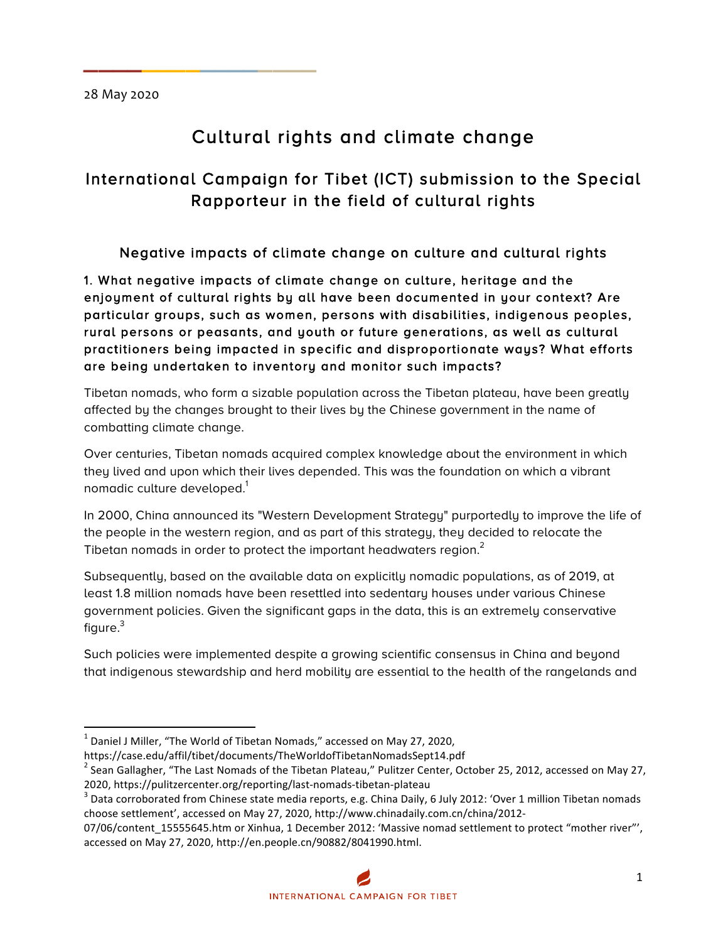**\_\_\_\_\_\_\_\_\_\_\_\_\_\_\_\_**

# Cultural rights and climate change

## International Campaign for Tibet (ICT) submission to the Special Rapporteur in the field of cultural rights

Negative impacts of climate change on culture and cultural rights

1. What negative impacts of climate change on culture, heritage and the enjoyment of cultural rights by all have been documented in your context? Are particular groups, such as women, persons with disabilities, indigenous peoples, rural persons or peasants, and youth or future generations, as well as cultural practitioners being impacted in specific and disproportionate ways? What efforts are being undertaken to inventory and monitor such impacts?

Tibetan nomads, who form a sizable population across the Tibetan plateau, have been greatly affected by the changes brought to their lives by the Chinese government in the name of combatting climate change.

Over centuries, Tibetan nomads acquired complex knowledge about the environment in which they lived and upon which their lives depended. This was the foundation on which a vibrant nomadic culture developed.<sup>1</sup>

In 2000, China announced its "Western Development Strategy" purportedly to improve the life of the people in the western region, and as part of this strategy, they decided to relocate the Tibetan nomads in order to protect the important headwaters region. $<sup>2</sup>$ </sup>

Subsequently, based on the available data on explicitly nomadic populations, as of 2019, at least 1.8 million nomads have been resettled into sedentary houses under various Chinese government policies. Given the significant gaps in the data, this is an extremely conservative figure. $3$ 

Such policies were implemented despite a growing scientific consensus in China and beyond that indigenous stewardship and herd mobility are essential to the health of the rangelands and

<u> 1989 - Jan Samuel Barbara, político establecido de la provincia de la provincia de la provincia de la provinci</u>

https://case.edu/affil/tibet/documents/TheWorldofTibetanNomadsSept14.pdf

Daniel J Miller, "The World of Tibetan Nomads," accessed on May 27, 2020,

 $^2$  Sean Gallagher, "The Last Nomads of the Tibetan Plateau," Pulitzer Center, October 25, 2012, accessed on May 27, 2020, https://pulitzercenter.org/reporting/last-nomads-tibetan-plateau<br> $3$  Data corroborated from Chinese state media reports, e.g. China Daily, 6 July 2012: 'Over 1 million Tibetan nomads

choose settlement', accessed on May 27, 2020, http://www.chinadaily.com.cn/china/2012-

<sup>07/06/</sup>content\_15555645.htm or Xinhua, 1 December 2012: 'Massive nomad settlement to protect "mother river"', accessed on May 27, 2020, http://en.people.cn/90882/8041990.html.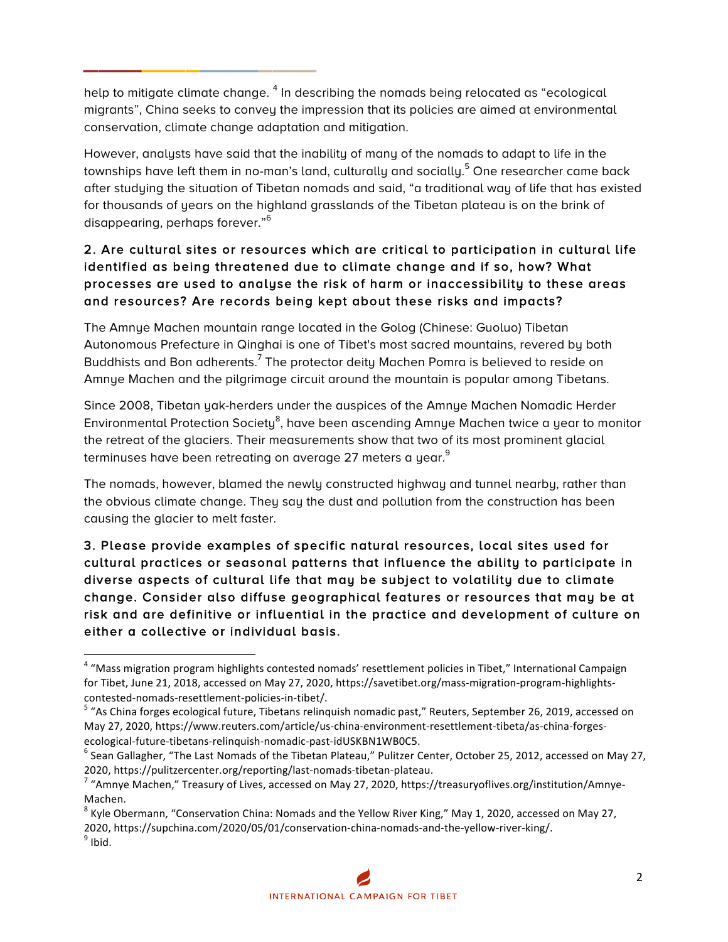help to mitigate climate change.<sup>4</sup> In describing the nomads being relocated as "ecological migrants", China seeks to convey the impression that its policies are aimed at environmental conservation, climate change adaptation and mitigation.

**\_\_\_\_\_\_\_\_\_\_\_\_\_\_\_\_**

<u> 1989 - Jan Samuel Barbara, político establecido de la provincia de la provincia de la provincia de la provinci</u>

However, analysts have said that the inability of many of the nomads to adapt to life in the townships have left them in no-man's land, culturally and socially.<sup>5</sup> One researcher came back after studying the situation of Tibetan nomads and said, "a traditional way of life that has existed for thousands of years on the highland grasslands of the Tibetan plateau is on the brink of disappearing, perhaps forever."<sup>6</sup>

#### 2. Are cultural sites or resources which are critical to participation in cultural life identified as being threatened due to climate change and if so, how? What processes are used to analyse the risk of harm or inaccessibility to these areas and resources? Are records being kept about these risks and impacts?

The Amnye Machen mountain range located in the Golog (Chinese: Guoluo) Tibetan Autonomous Prefecture in Qinghai is one of Tibet's most sacred mountains, revered by both Buddhists and Bon adherents.<sup>7</sup> The protector deity Machen Pomra is believed to reside on Amnye Machen and the pilgrimage circuit around the mountain is popular among Tibetans.

Since 2008, Tibetan yak-herders under the auspices of the Amnye Machen Nomadic Herder Environmental Protection Society<sup>8</sup>, have been ascending Amnye Machen twice a year to monitor the retreat of the glaciers. Their measurements show that two of its most prominent glacial terminuses have been retreating on average 27 meters a year. $^9$ 

The nomads, however, blamed the newly constructed highway and tunnel nearby, rather than the obvious climate change. They say the dust and pollution from the construction has been causing the glacier to melt faster.

3. Please provide examples of specific natural resources, local sites used for cultural practices or seasonal patterns that influence the ability to participate in diverse aspects of cultural life that may be subject to volatility due to climate change. Consider also diffuse geographical features or resources that may be at risk and are definitive or influential in the practice and development of culture on either a collective or individual basis.

<sup>&</sup>lt;sup>4</sup> "Mass migration program highlights contested nomads' resettlement policies in Tibet," International Campaign for Tibet, June 21, 2018, accessed on May 27, 2020, https://savetibet.org/mass-migration-program-highlightscontested-nomads-resettlement-policies-in-tibet/.<br><sup>5</sup> "As China forges ecological future, Tibetans relinquish nomadic past," Reuters, September 26, 2019, accessed on

May 27, 2020, https://www.reuters.com/article/us-china-environment-resettlement-tibeta/as-china-forges-

ecological-future-tibetans-relinquish-nomadic-past-idUSKBN1WB0C5.<br><sup>6</sup> Sean Gallagher, "The Last Nomads of the Tibetan Plateau," Pulitzer Center, October 25, 2012, accessed on May 27,

<sup>2020,</sup> https://pulitzercenter.org/reporting/last-nomads-tibetan-plateau.<br><sup>7</sup> "Amnye Machen," Treasury of Lives, accessed on May 27, 2020, https://treasuryoflives.org/institution/Amnye-Machen.<br><sup>8</sup> Kyle Obermann, "Conservation China: Nomads and the Yellow River King," May 1, 2020, accessed on May 27,

<sup>2020,</sup> https://supchina.com/2020/05/01/conservation-china-nomads-and-the-yellow-river-king/.<br><sup>9</sup> Ibid.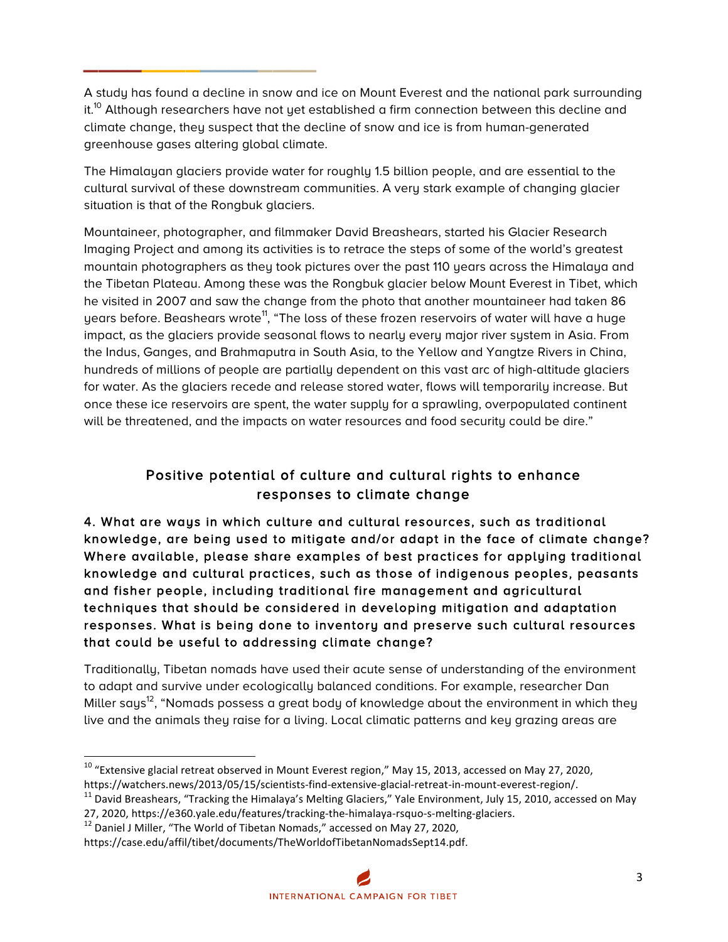A study has found a decline in snow and ice on Mount Everest and the national park surrounding it.<sup>10</sup> Although researchers have not yet established a firm connection between this decline and climate change, they suspect that the decline of snow and ice is from human-generated greenhouse gases altering global climate.

**\_\_\_\_\_\_\_\_\_\_\_\_\_\_\_\_**

The Himalayan glaciers provide water for roughly 1.5 billion people, and are essential to the cultural survival of these downstream communities. A very stark example of changing glacier situation is that of the Rongbuk glaciers.

Mountaineer, photographer, and filmmaker David Breashears, started his Glacier Research Imaging Project and among its activities is to retrace the steps of some of the world's greatest mountain photographers as they took pictures over the past 110 years across the Himalaya and the Tibetan Plateau. Among these was the Rongbuk glacier below Mount Everest in Tibet, which he visited in 2007 and saw the change from the photo that another mountaineer had taken 86 years before. Beashears wrote<sup>11</sup>, "The loss of these frozen reservoirs of water will have a huge impact, as the glaciers provide seasonal flows to nearly every major river system in Asia. From the Indus, Ganges, and Brahmaputra in South Asia, to the Yellow and Yangtze Rivers in China, hundreds of millions of people are partially dependent on this vast arc of high-altitude glaciers for water. As the glaciers recede and release stored water, flows will temporarily increase. But once these ice reservoirs are spent, the water supply for a sprawling, overpopulated continent will be threatened, and the impacts on water resources and food security could be dire."

### Positive potential of culture and cultural rights to enhance responses to climate change

4. What are ways in which culture and cultural resources, such as traditional knowledge, are being used to mitigate and/or adapt in the face of climate change? Where available, please share examples of best practices for applying traditional knowledge and cultural practices, such as those of indigenous peoples, peasants and fisher people, including traditional fire management and agricultural techniques that should be considered in developing mitigation and adaptation responses. What is being done to inventory and preserve such cultural resources that could be useful to addressing climate change?

Traditionally, Tibetan nomads have used their acute sense of understanding of the environment to adapt and survive under ecologically balanced conditions. For example, researcher Dan Miller says<sup>12</sup>, "Nomads possess a great body of knowledge about the environment in which they live and the animals they raise for a living. Local climatic patterns and key grazing areas are

<u> 1989 - Jan Samuel Barbara, político establecido de la provincia de la provincia de la provincia de la provinci</u>

 $^{10}$  "Extensive glacial retreat observed in Mount Everest region," May 15, 2013, accessed on May 27, 2020, https://watchers.news/2013/05/15/scientists-find-extensive-glacial-retreat-in-mount-everest-region/.<br><sup>11</sup> David Breashears, "Tracking the Himalaya's Melting Glaciers," Yale Environment, July 15, 2010, accessed on May

<sup>27, 2020,</sup> https://e360.yale.edu/features/tracking-the-himalaya-rsquo-s-melting-glaciers.<br><sup>12</sup> Daniel J Miller, "The World of Tibetan Nomads," accessed on May 27, 2020,

https://case.edu/affil/tibet/documents/TheWorldofTibetanNomadsSept14.pdf.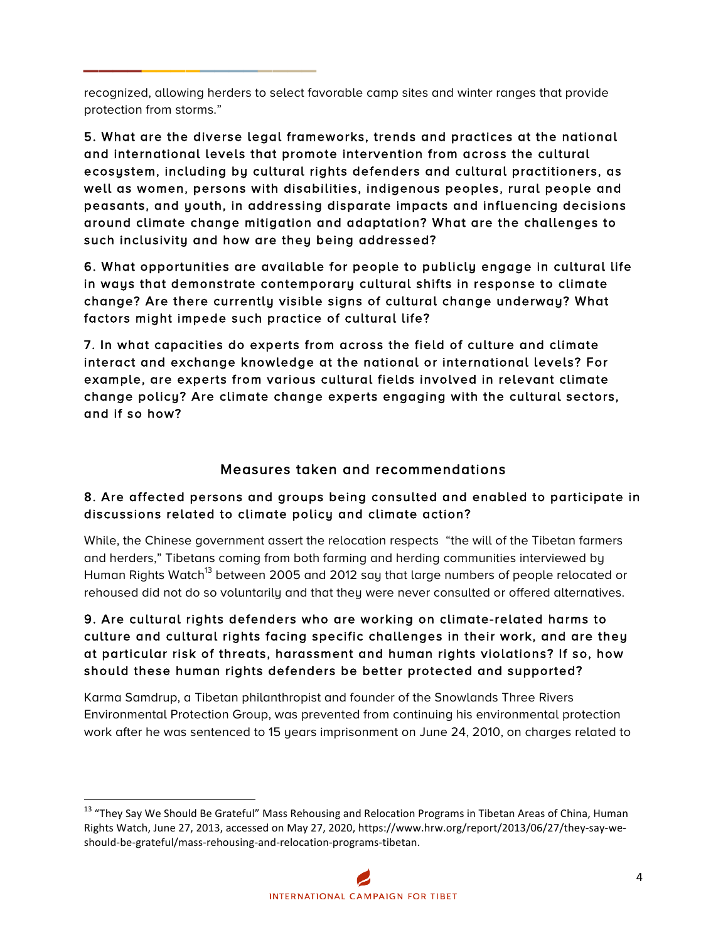recognized, allowing herders to select favorable camp sites and winter ranges that provide protection from storms."

**\_\_\_\_\_\_\_\_\_\_\_\_\_\_\_\_**

<u> 1989 - Jan Samuel Barbara, político establecido de la provincia de la provincia de la provincia de la provinci</u>

5. What are the diverse legal frameworks, trends and practices at the national and international levels that promote intervention from across the cultural ecosystem, including by cultural rights defenders and cultural practitioners, as well as women, persons with disabilities, indigenous peoples, rural people and peasants, and youth, in addressing disparate impacts and influencing decisions around climate change mitigation and adaptation? What are the challenges to such inclusivity and how are they being addressed?

6. What opportunities are available for people to publicly engage in cultural life in ways that demonstrate contemporary cultural shifts in response to climate change? Are there currently visible signs of cultural change underway? What factors might impede such practice of cultural life?

7. In what capacities do experts from across the field of culture and climate interact and exchange knowledge at the national or international levels? For example, are experts from various cultural fields involved in relevant climate change policy? Are climate change experts engaging with the cultural sectors, and if so how?

#### Measures taken and recommendations

#### 8. Are affected persons and groups being consulted and enabled to participate in discussions related to climate policy and climate action?

While, the Chinese government assert the relocation respects "the will of the Tibetan farmers and herders," Tibetans coming from both farming and herding communities interviewed by Human Rights Watch<sup>13</sup> between 2005 and 2012 say that large numbers of people relocated or rehoused did not do so voluntarily and that they were never consulted or offered alternatives.

#### 9. Are cultural rights defenders who are working on climate-related harms to culture and cultural rights facing specific challenges in their work, and are they at particular risk of threats, harassment and human rights violations? If so, how should these human rights defenders be better protected and supported?

Karma Samdrup, a Tibetan philanthropist and founder of the Snowlands Three Rivers Environmental Protection Group, was prevented from continuing his environmental protection work after he was sentenced to 15 years imprisonment on June 24, 2010, on charges related to

<sup>&</sup>lt;sup>13</sup> "They Say We Should Be Grateful" Mass Rehousing and Relocation Programs in Tibetan Areas of China, Human Rights Watch, June 27, 2013, accessed on May 27, 2020, https://www.hrw.org/report/2013/06/27/they-say-weshould-be-grateful/mass-rehousing-and-relocation-programs-tibetan.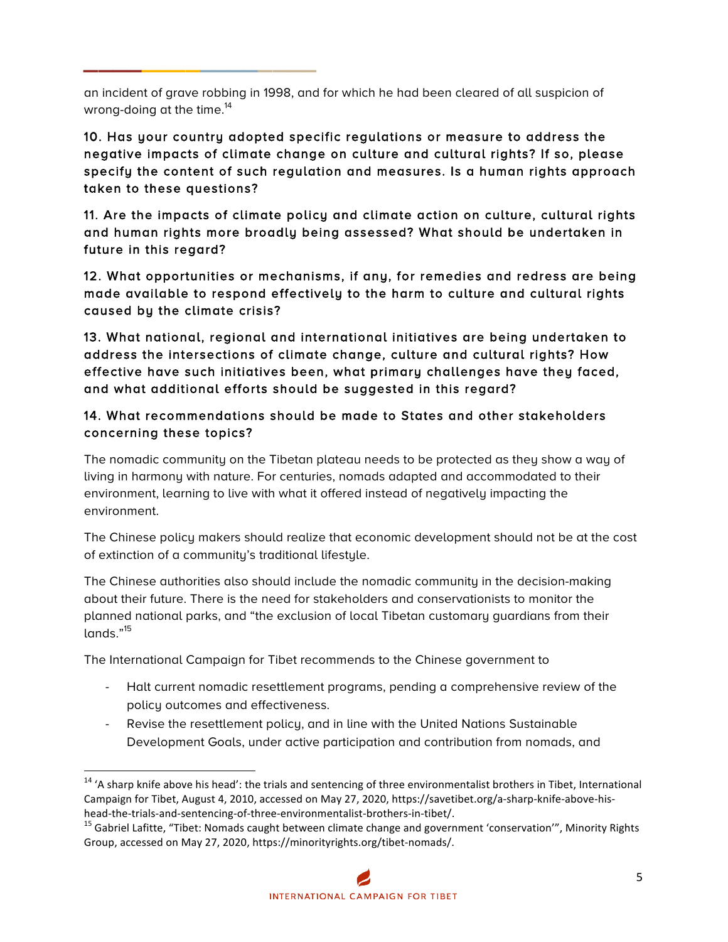an incident of grave robbing in 1998, and for which he had been cleared of all suspicion of wrong-doing at the time. $^{14}$ 

**\_\_\_\_\_\_\_\_\_\_\_\_\_\_\_\_**

10. Has your country adopted specific regulations or measure to address the negative impacts of climate change on culture and cultural rights? If so, please specify the content of such regulation and measures. Is a human rights approach taken to these questions?

11. Are the impacts of climate policy and climate action on culture, cultural rights and human rights more broadly being assessed? What should be undertaken in future in this regard?

12. What opportunities or mechanisms, if any, for remedies and redress are being made available to respond effectively to the harm to culture and cultural rights caused by the climate crisis?

13. What national, regional and international initiatives are being undertaken to address the intersections of climate change, culture and cultural rights? How effective have such initiatives been, what primary challenges have they faced, and what additional efforts should be suggested in this regard?

#### 14. What recommendations should be made to States and other stakeholders concerning these topics?

The nomadic community on the Tibetan plateau needs to be protected as they show a way of living in harmony with nature. For centuries, nomads adapted and accommodated to their environment, learning to live with what it offered instead of negatively impacting the environment.

The Chinese policy makers should realize that economic development should not be at the cost of extinction of a community's traditional lifestyle.

The Chinese authorities also should include the nomadic community in the decision-making about their future. There is the need for stakeholders and conservationists to monitor the planned national parks, and "the exclusion of local Tibetan customary guardians from their lands."<sup>15</sup>

The International Campaign for Tibet recommends to the Chinese government to

<u> 1989 - Jan Samuel Barbara, político establecido de la provincia de la provincia de la provincia de la provinci</u>

- Halt current nomadic resettlement programs, pending a comprehensive review of the policy outcomes and effectiveness.
- Revise the resettlement policy, and in line with the United Nations Sustainable Development Goals, under active participation and contribution from nomads, and

<sup>&</sup>lt;sup>14</sup> 'A sharp knife above his head': the trials and sentencing of three environmentalist brothers in Tibet, International Campaign for Tibet, August 4, 2010, accessed on May 27, 2020, https://savetibet.org/a-sharp-knife-above-his-

head-the-trials-and-sentencing-of-three-environmentalist-brothers-in-tibet/.<br><sup>15</sup> Gabriel Lafitte, "Tibet: Nomads caught between climate change and government 'conservation'", Minority Rights Group, accessed on May 27, 2020, https://minorityrights.org/tibet-nomads/.